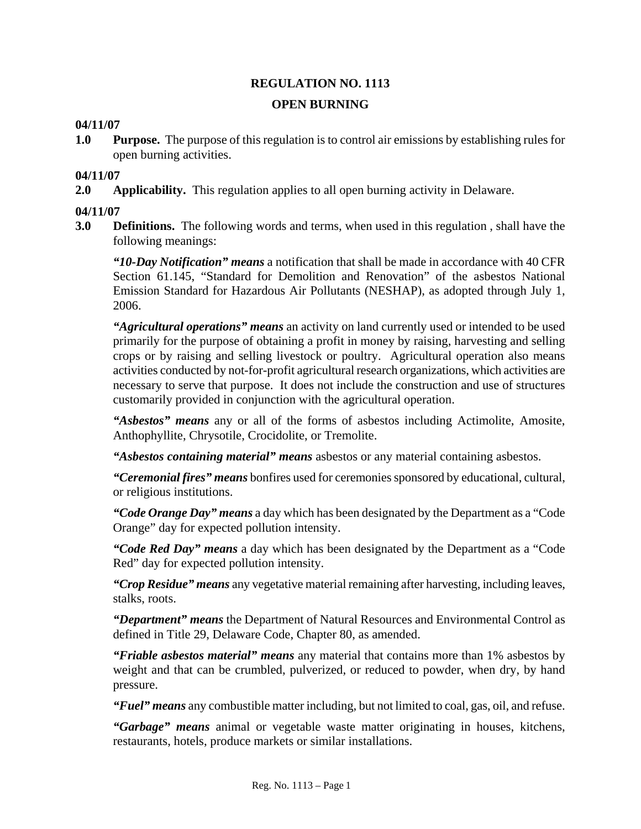# **REGULATION NO. 1113 OPEN BURNING**

## **04/11/07**

**1.0 Purpose.** The purpose of this regulation is to control air emissions by establishing rules for open burning activities.

#### **04/11/07**

**2.0 Applicability.** This regulation applies to all open burning activity in Delaware.

## **04/11/07**

**3.0 Definitions.** The following words and terms, when used in this regulation , shall have the following meanings:

*"10-Day Notification" means* a notification that shall be made in accordance with 40 CFR Section 61.145, "Standard for Demolition and Renovation" of the asbestos National Emission Standard for Hazardous Air Pollutants (NESHAP), as adopted through July 1, 2006.

*"Agricultural operations" means* an activity on land currently used or intended to be used primarily for the purpose of obtaining a profit in money by raising, harvesting and selling crops or by raising and selling livestock or poultry. Agricultural operation also means activities conducted by not-for-profit agricultural research organizations, which activities are necessary to serve that purpose. It does not include the construction and use of structures customarily provided in conjunction with the agricultural operation.

*"Asbestos" means* any or all of the forms of asbestos including Actimolite, Amosite, Anthophyllite, Chrysotile, Crocidolite, or Tremolite.

*"Asbestos containing material" means* asbestos or any material containing asbestos.

*"Ceremonial fires" means* bonfires used for ceremonies sponsored by educational, cultural, or religious institutions.

*"Code Orange Day" means* a day which has been designated by the Department as a "Code Orange" day for expected pollution intensity.

*"Code Red Day" means* a day which has been designated by the Department as a "Code Red" day for expected pollution intensity.

*"Crop Residue" means* any vegetative material remaining after harvesting, including leaves, stalks, roots.

*"Department" means* the Department of Natural Resources and Environmental Control as defined in Title 29, Delaware Code, Chapter 80, as amended.

*"Friable asbestos material" means* any material that contains more than 1% asbestos by weight and that can be crumbled, pulverized, or reduced to powder, when dry, by hand pressure.

*"Fuel" means* any combustible matter including, but not limited to coal, gas, oil, and refuse.

*"Garbage" means* animal or vegetable waste matter originating in houses, kitchens, restaurants, hotels, produce markets or similar installations.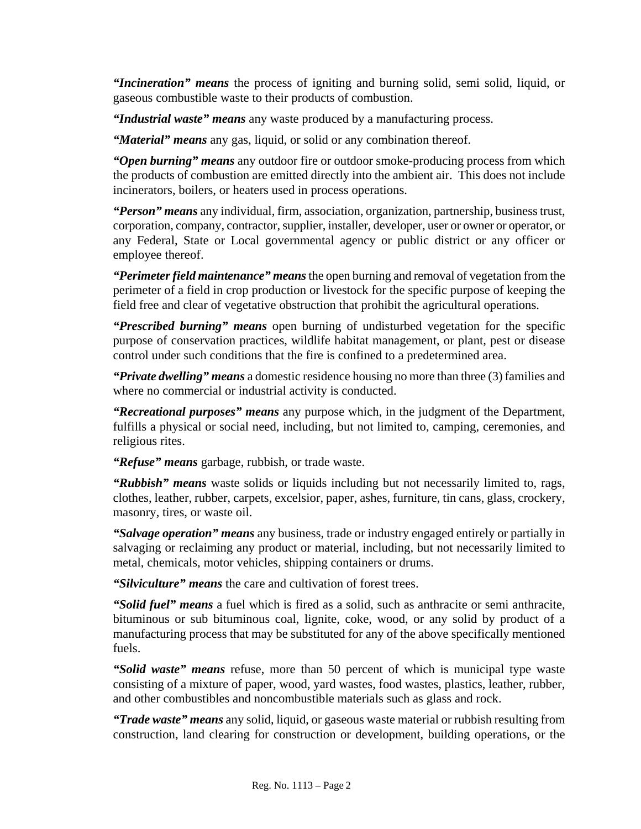*"Incineration" means* the process of igniting and burning solid, semi solid, liquid, or gaseous combustible waste to their products of combustion.

*"Industrial waste" means* any waste produced by a manufacturing process.

*"Material" means* any gas, liquid, or solid or any combination thereof.

*"Open burning" means* any outdoor fire or outdoor smoke-producing process from which the products of combustion are emitted directly into the ambient air. This does not include incinerators, boilers, or heaters used in process operations.

*"Person" means* any individual, firm, association, organization, partnership, business trust, corporation, company, contractor, supplier, installer, developer, user or owner or operator, or any Federal, State or Local governmental agency or public district or any officer or employee thereof.

*"Perimeter field maintenance" means*the open burning and removal of vegetation from the perimeter of a field in crop production or livestock for the specific purpose of keeping the field free and clear of vegetative obstruction that prohibit the agricultural operations.

*"Prescribed burning" means* open burning of undisturbed vegetation for the specific purpose of conservation practices, wildlife habitat management, or plant, pest or disease control under such conditions that the fire is confined to a predetermined area.

*"Private dwelling" means* a domestic residence housing no more than three (3) families and where no commercial or industrial activity is conducted.

*"Recreational purposes" means* any purpose which, in the judgment of the Department, fulfills a physical or social need, including, but not limited to, camping, ceremonies, and religious rites.

*"Refuse" means* garbage, rubbish, or trade waste.

*"Rubbish" means* waste solids or liquids including but not necessarily limited to, rags, clothes, leather, rubber, carpets, excelsior, paper, ashes, furniture, tin cans, glass, crockery, masonry, tires, or waste oil.

*"Salvage operation" means* any business, trade or industry engaged entirely or partially in salvaging or reclaiming any product or material, including, but not necessarily limited to metal, chemicals, motor vehicles, shipping containers or drums.

*"Silviculture" means* the care and cultivation of forest trees.

*"Solid fuel" means* a fuel which is fired as a solid, such as anthracite or semi anthracite, bituminous or sub bituminous coal, lignite, coke, wood, or any solid by product of a manufacturing process that may be substituted for any of the above specifically mentioned fuels.

*"Solid waste" means* refuse, more than 50 percent of which is municipal type waste consisting of a mixture of paper, wood, yard wastes, food wastes, plastics, leather, rubber, and other combustibles and noncombustible materials such as glass and rock.

*"Trade waste" means* any solid, liquid, or gaseous waste material or rubbish resulting from construction, land clearing for construction or development, building operations, or the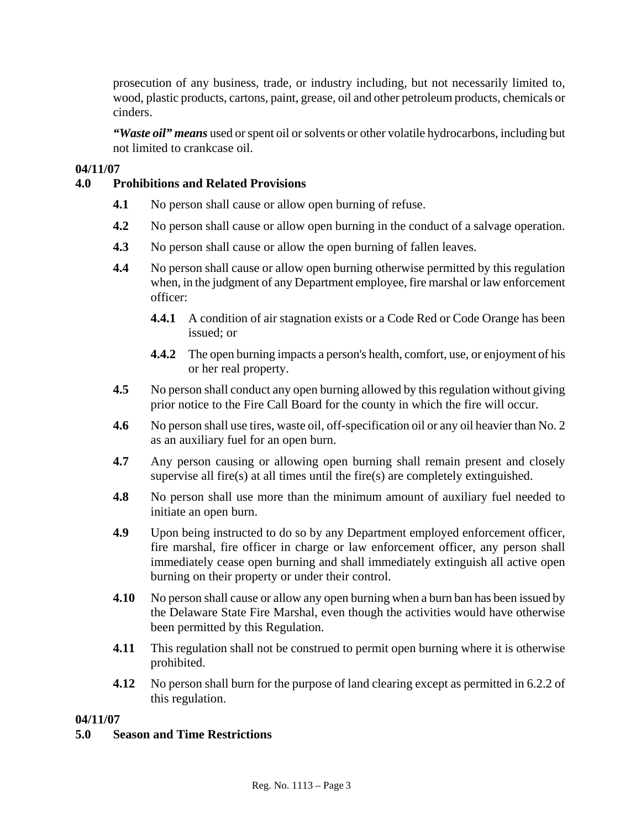prosecution of any business, trade, or industry including, but not necessarily limited to, wood, plastic products, cartons, paint, grease, oil and other petroleum products, chemicals or cinders.

*"Waste oil" means* used or spent oil or solvents or other volatile hydrocarbons, including but not limited to crankcase oil.

# **04/11/07**

# **4.0 Prohibitions and Related Provisions**

- **4.1** No person shall cause or allow open burning of refuse.
- **4.2** No person shall cause or allow open burning in the conduct of a salvage operation.
- **4.3** No person shall cause or allow the open burning of fallen leaves.
- **4.4** No person shall cause or allow open burning otherwise permitted by this regulation when, in the judgment of any Department employee, fire marshal or law enforcement officer:
	- **4.4.1** A condition of air stagnation exists or a Code Red or Code Orange has been issued; or
	- **4.4.2** The open burning impacts a person's health, comfort, use, or enjoyment of his or her real property.
- **4.5** No person shall conduct any open burning allowed by this regulation without giving prior notice to the Fire Call Board for the county in which the fire will occur.
- **4.6** No person shall use tires, waste oil, off-specification oil or any oil heavier than No. 2 as an auxiliary fuel for an open burn.
- **4.7** Any person causing or allowing open burning shall remain present and closely supervise all fire(s) at all times until the fire(s) are completely extinguished.
- **4.8** No person shall use more than the minimum amount of auxiliary fuel needed to initiate an open burn.
- **4.9** Upon being instructed to do so by any Department employed enforcement officer, fire marshal, fire officer in charge or law enforcement officer, any person shall immediately cease open burning and shall immediately extinguish all active open burning on their property or under their control.
- **4.10** No person shall cause or allow any open burning when a burn ban has been issued by the Delaware State Fire Marshal, even though the activities would have otherwise been permitted by this Regulation.
- **4.11** This regulation shall not be construed to permit open burning where it is otherwise prohibited.
- **4.12** No person shall burn for the purpose of land clearing except as permitted in 6.2.2 of this regulation.

#### **04/11/07**

# **5.0 Season and Time Restrictions**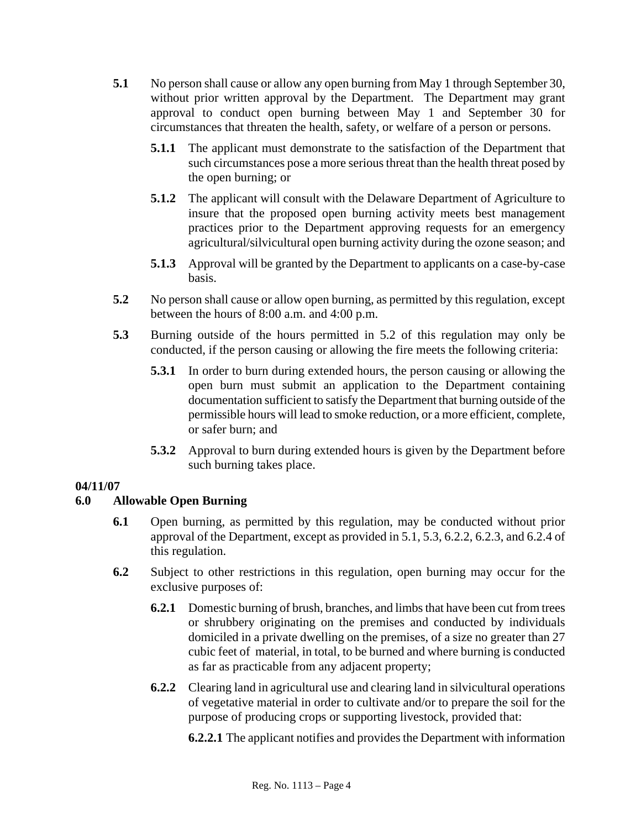- **5.1** No person shall cause or allow any open burning from May 1 through September 30, without prior written approval by the Department. The Department may grant approval to conduct open burning between May 1 and September 30 for circumstances that threaten the health, safety, or welfare of a person or persons.
	- **5.1.1** The applicant must demonstrate to the satisfaction of the Department that such circumstances pose a more serious threat than the health threat posed by the open burning; or
	- **5.1.2** The applicant will consult with the Delaware Department of Agriculture to insure that the proposed open burning activity meets best management practices prior to the Department approving requests for an emergency agricultural/silvicultural open burning activity during the ozone season; and
	- **5.1.3** Approval will be granted by the Department to applicants on a case-by-case basis.
- **5.2** No person shall cause or allow open burning, as permitted by this regulation, except between the hours of 8:00 a.m. and 4:00 p.m.
- **5.3** Burning outside of the hours permitted in 5.2 of this regulation may only be conducted, if the person causing or allowing the fire meets the following criteria:
	- **5.3.1** In order to burn during extended hours, the person causing or allowing the open burn must submit an application to the Department containing documentation sufficient to satisfy the Department that burning outside of the permissible hours will lead to smoke reduction, or a more efficient, complete, or safer burn; and
	- **5.3.2** Approval to burn during extended hours is given by the Department before such burning takes place.

# **04/11/07**

# **6.0 Allowable Open Burning**

- **6.1** Open burning, as permitted by this regulation, may be conducted without prior approval of the Department, except as provided in 5.1, 5.3, 6.2.2, 6.2.3, and 6.2.4 of this regulation.
- **6.2** Subject to other restrictions in this regulation, open burning may occur for the exclusive purposes of:
	- **6.2.1** Domestic burning of brush, branches, and limbs that have been cut from trees or shrubbery originating on the premises and conducted by individuals domiciled in a private dwelling on the premises, of a size no greater than 27 cubic feet of material, in total, to be burned and where burning is conducted as far as practicable from any adjacent property;
	- **6.2.2** Clearing land in agricultural use and clearing land in silvicultural operations of vegetative material in order to cultivate and/or to prepare the soil for the purpose of producing crops or supporting livestock, provided that:

**6.2.2.1** The applicant notifies and provides the Department with information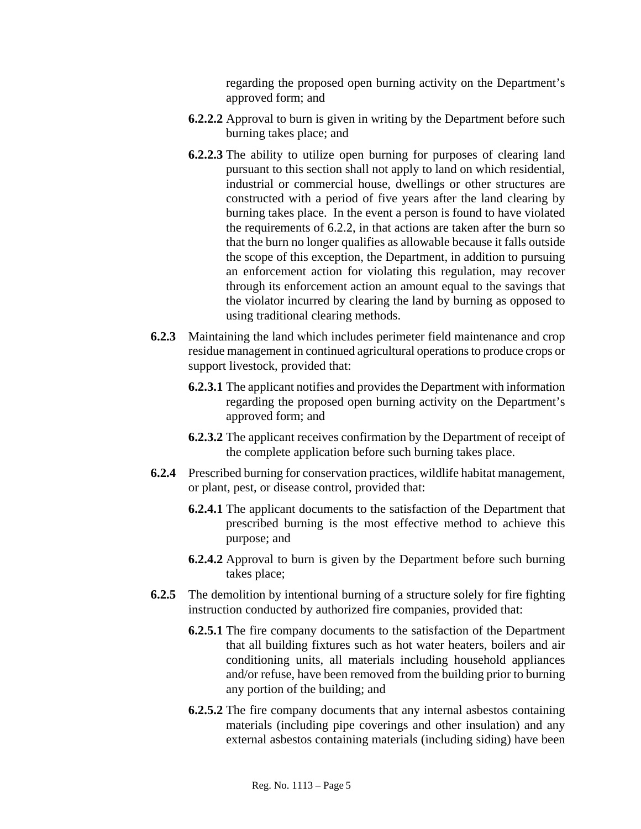regarding the proposed open burning activity on the Department's approved form; and

- **6.2.2.2** Approval to burn is given in writing by the Department before such burning takes place; and
- **6.2.2.3** The ability to utilize open burning for purposes of clearing land pursuant to this section shall not apply to land on which residential, industrial or commercial house, dwellings or other structures are constructed with a period of five years after the land clearing by burning takes place. In the event a person is found to have violated the requirements of 6.2.2, in that actions are taken after the burn so that the burn no longer qualifies as allowable because it falls outside the scope of this exception, the Department, in addition to pursuing an enforcement action for violating this regulation, may recover through its enforcement action an amount equal to the savings that the violator incurred by clearing the land by burning as opposed to using traditional clearing methods.
- **6.2.3** Maintaining the land which includes perimeter field maintenance and crop residue management in continued agricultural operations to produce crops or support livestock, provided that:
	- **6.2.3.1** The applicant notifies and provides the Department with information regarding the proposed open burning activity on the Department's approved form; and
	- **6.2.3.2** The applicant receives confirmation by the Department of receipt of the complete application before such burning takes place.
- **6.2.4** Prescribed burning for conservation practices, wildlife habitat management, or plant, pest, or disease control, provided that:
	- **6.2.4.1** The applicant documents to the satisfaction of the Department that prescribed burning is the most effective method to achieve this purpose; and
	- **6.2.4.2** Approval to burn is given by the Department before such burning takes place;
- **6.2.5** The demolition by intentional burning of a structure solely for fire fighting instruction conducted by authorized fire companies, provided that:
	- **6.2.5.1** The fire company documents to the satisfaction of the Department that all building fixtures such as hot water heaters, boilers and air conditioning units, all materials including household appliances and/or refuse, have been removed from the building prior to burning any portion of the building; and
	- **6.2.5.2** The fire company documents that any internal asbestos containing materials (including pipe coverings and other insulation) and any external asbestos containing materials (including siding) have been